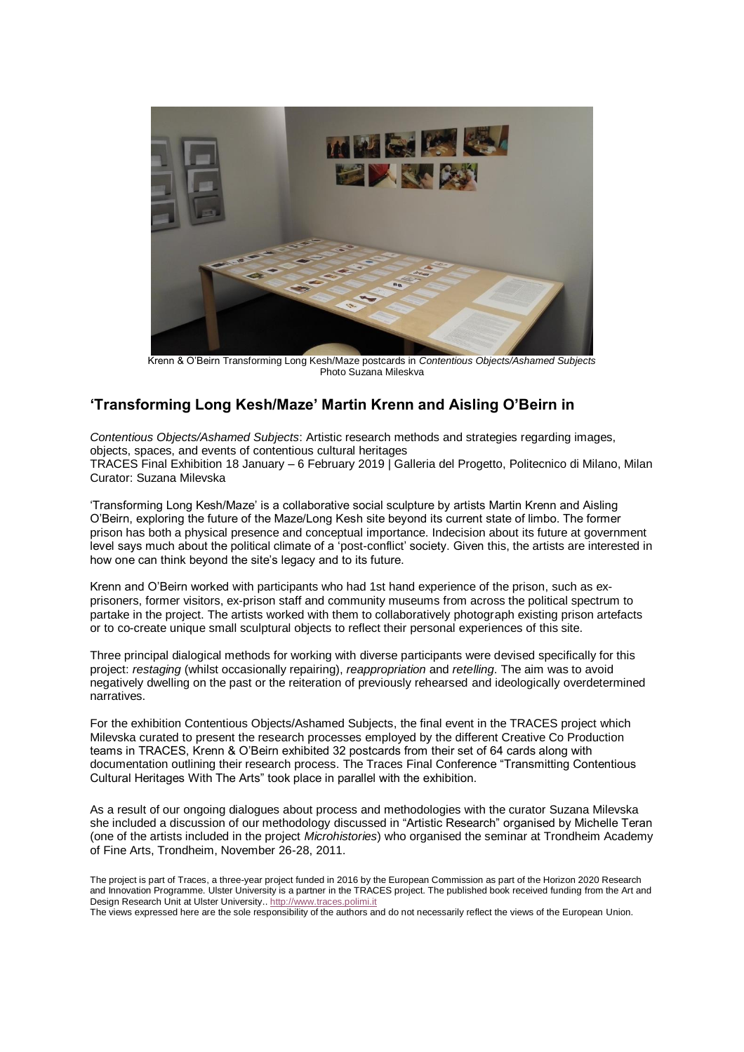

Krenn & O'Beirn Transforming Long Kesh/Maze postcards in *Contentious Objects/Ashamed Subjects* Photo Suzana Mileskva

## **'Transforming Long Kesh/Maze' Martin Krenn and Aisling O'Beirn in**

*Contentious Objects/Ashamed Subjects*: Artistic research methods and strategies regarding images, objects, spaces, and events of contentious cultural heritages TRACES Final Exhibition 18 January – 6 February 2019 | Galleria del Progetto, Politecnico di Milano, Milan Curator: Suzana Milevska

'Transforming Long Kesh/Maze' is a collaborative social sculpture by artists Martin Krenn and Aisling O'Beirn, exploring the future of the Maze/Long Kesh site beyond its current state of limbo. The former prison has both a physical presence and conceptual importance. Indecision about its future at government level says much about the political climate of a 'post-conflict' society. Given this, the artists are interested in how one can think beyond the site's legacy and to its future.

Krenn and O'Beirn worked with participants who had 1st hand experience of the prison, such as exprisoners, former visitors, ex-prison staff and community museums from across the political spectrum to partake in the project. The artists worked with them to collaboratively photograph existing prison artefacts or to co-create unique small sculptural objects to reflect their personal experiences of this site.

Three principal dialogical methods for working with diverse participants were devised specifically for this project: *restaging* (whilst occasionally repairing), *reappropriation* and *retelling*. The aim was to avoid negatively dwelling on the past or the reiteration of previously rehearsed and ideologically overdetermined narratives.

For the exhibition Contentious Objects/Ashamed Subjects, the final event in the TRACES project which Milevska curated to present the research processes employed by the different Creative Co Production teams in TRACES, Krenn & O'Beirn exhibited 32 postcards from their set of 64 cards along with documentation outlining their research process. The Traces Final Conference "Transmitting Contentious Cultural Heritages With The Arts" took place in parallel with the exhibition.

As a result of our ongoing dialogues about process and methodologies with the curator Suzana Milevska she included a discussion of our methodology discussed in "Artistic Research" organised by Michelle Teran (one of the artists included in the project *Microhistories*) who organised the seminar at Trondheim Academy of Fine Arts, Trondheim, November 26-28, 2011.

The project is part of Traces, a three-year project funded in 2016 by the European Commission as part of the Horizon 2020 Research and Innovation Programme. Ulster University is a partner in the TRACES project. The published book received funding from the Art and Design Research Unit at Ulster University.[. http://www.traces.polimi.it](http://www.traces.polimi.it/)

The views expressed here are the sole responsibility of the authors and do not necessarily reflect the views of the European Union.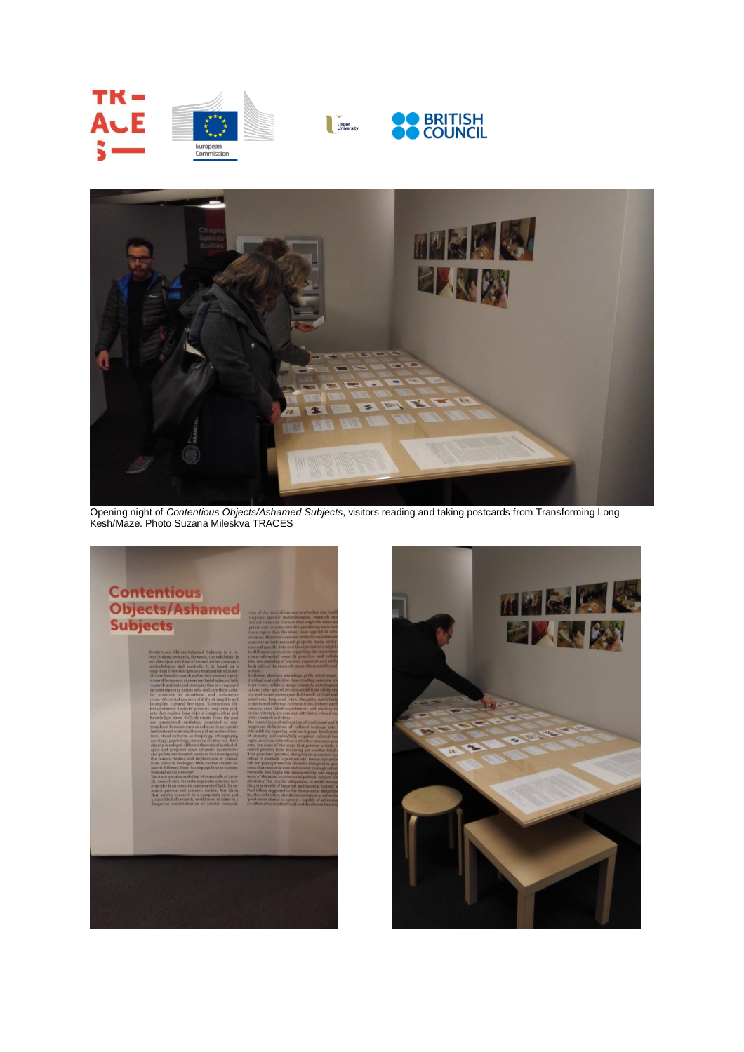



Opening night of *Contentious Objects/Ashamed Subjects*, visitors reading and taking postcards from Transforming Long Kesh/Maze. Photo Suzana Mileskva TRACES